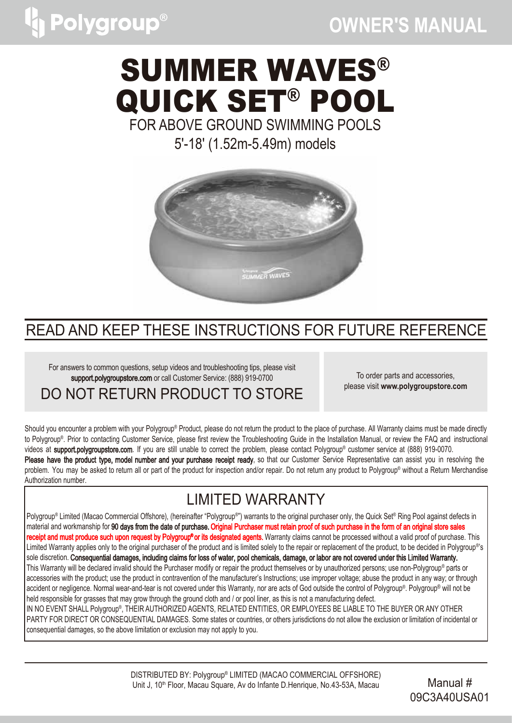## **OWNER′S MANUAL**

# SUMMER WAVES® QUICK SET® POOL

FOR ABOVE GROUND SWIMMING POOLS

5'-18' (1.52m-5.49m) models



### READ AND KEEP THESE INSTRUCTIONS FOR FUTURE REFERENCE

For answers to common questions, setup videos and troubleshooting tips, please visit support.polygroupstore.com or call Customer Service: (888) 919-0700

To order parts and accessories, please visit **www.polygroupstore.com**

DO NOT RETURN PRODUCT TO STORE

Should you encounter a problem with your Polygroup® Product, please do not return the product to the place of purchase. All Warranty claims must be made directly to Polygroup® . Prior to contacting Customer Service, please first review the Troubleshooting Guide in the Installation Manual, or review the FAQ and instructional videos at **support.polygroupstore.com**. If you are still unable to correct the problem, please contact Polygroup® customer service at (888) 919-0070. Please have the product type, model number and your purchase receipt ready, so that our Customer Service Representative can assist you in resolving the problem. You may be asked to return all or part of the product for inspection and/or repair. Do not return any product to Polygroup® without a Return Merchandise Authorization number.

## LIMITED WARRANTY

Polygroup® Limited (Macao Commercial Offshore), (hereinafter "Polygroup®") warrants to the original purchaser only, the Quick Set® Ring Pool against defects in material and workmanship for 90 days from the date of purchase. Original Purchaser must retain proof of such purchase in the form of an original store sales **receipt and must produce such upon request by Polygroup®or its designated agents.** Warranty claims cannot be processed without a valid proof of purchase. This Limited Warranty applies only to the original purchaser of the product and is limited solely to the repair or replacement of the product, to be decided in Polygroup®'s sole discretion. Consequential damages, including claims for loss of water, pool chemicals, damage, or labor are not covered under this Limited Warranty. This Warranty will be declared invalid should the Purchaser modify or repair the product themselves or by unauthorized persons; use non-Polygroup® parts or accessories with the product; use the product in contravention of the manufacturer's Instructions; use improper voltage; abuse the product in any way; or through accident or negligence. Normal wear-and-tear is not covered under this Warranty, nor are acts of God outside the control of Polygroup® . Polygroup® will not be held responsible for grasses that may grow through the ground cloth and / or pool liner, as this is not a manufacturing defect. IN NO EVENT SHALL Polygroup® , THEIR AUTHORIZED AGENTS, RELATED ENTITIES, OR EMPLOYEES BE LIABLE TO THE BUYER OR ANY OTHER PARTY FOR DIRECT OR CONSEQUENTIAL DAMAGES. Some states or countries, or others jurisdictions do not allow the exclusion or limitation of incidental or

consequential damages, so the above limitation or exclusion may not apply to you.

DISTRIBUTED BY: Polygroup® LIMITED (MACAO COMMERCIAL OFFSHORE) Unit J, 10<sup>th</sup> Floor, Macau Square, Av do Infante D.Henrique, No.43-53A, Macau Manual #

09C3A40USA01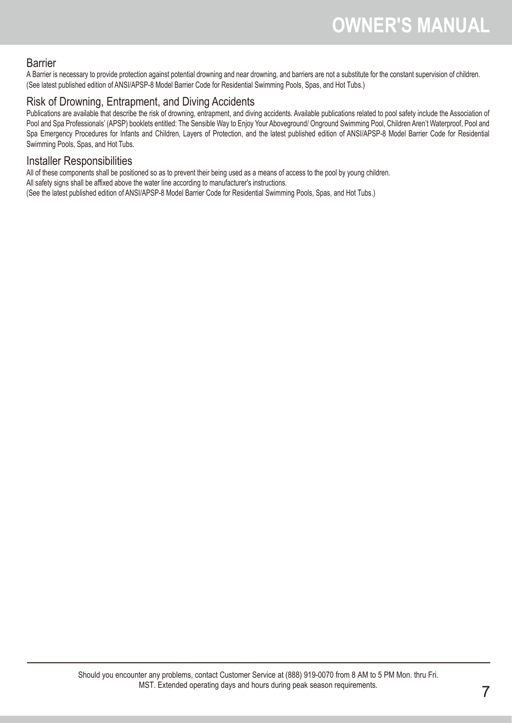

F Ž AA

#### ® **SUMMER WAVES** ® POOL QUICK SET **FOR ABOVE GROUND SWIMMING POOLS** - (.m-.m) models

## READ AND KEEP THESE INSTRUCTIONS FOR FUTURE REFERENCE

) RU DQVZHUV WLRGFVRFWPXFSQWLKESFNWRSSHOOHQYKSARWLQJ FDOO & 6XHVUWRFHU R U DO NOT RETURN PRODUCT TO STORE

To order parts and accessories. please visitporoptorecom

Shouldyou encountera problemwithyour Polygroup Product, pleasedo not returnthe productto the place ofpurchase. AlWarrantyclaimsmustbe made directly to Polygroup. Prior to contacting Custom ervice, please firstreview the Troubleshootin Guide in the Installation Manual, or review the FAQ If you are still unable to correct the problem, please contact Polygroup customerservice at ()

Please have the product type, model number and your purchase receipt ready **Customer Service Representative** assist you in resolving the problem. You may be asked to return allor partof the productfor inspection and/omepair. Donot returnany productto Polygroup without aReturn Authorization number.

### **I IMITED WARRANTY**

Polygroup Limited (Macao Commercial Offshore), (hereinafter Polygroupwarrants to the original purchaser only, the Quick SBting Pool against defects in material and workmanship f@0 days from the date of purchase. Original Purchaser must retain proof of such purchase in the form of an original store sales receipt and must produce such upon request by Polygroup<sup>®</sup> or its designated agents. Warranty claims cannot be processed without a valid proof of purchasine. Limited Warranty applies only to the original purchaser of the product and is limited solely to the repair or replacement of the product, to be decided in Polygrou sole discretionConsequential damages, including claims for loss of water, pool chemicals, damage, or labor are not covered under this Limited Warranty. This Warranty will be declared invalid should the Purchaser modify or repair the product themselves or by unauthorized persons use non-Ppdytgroup accessories with the product use the product in contravention of the manufacturers Instructions use improper voltage abuse the product in any way or through accident or negligence. Normal wear-and-tear is not covered under this Warranty, nor are acts of God outside the control of Polygr&up \힝 ☑ R ଔ G \_ Q R W KHOG UHVSRQVLEOH IRU JUDVVHV WKDW PD\ JURZ WKURXJK WKH JURXQG FORWK D IN NO EVENT SHALLPolygroup, THEIR AUTHORIED AGENTS, RELATED ENTITIES, OR EMPLOYEES BE LIABLETO THE BUYER OR ANY OTHER PARTY FOR DIRECT OR CONSEQUENTIAL DAMAGES. Some states or countries, or others urisdictions do not allow the eclusion or limitation of incidental or consequential damages, so the above limitation or eclusion may not apply to you.

> DISTRIBUTED BY: Polygroup LIMITED (MACAO COMMERCIAL OFFSHORE) Unit J, <sup>th</sup> Floor, Macau Square, Av do Infante D. Henrique, No.-A, Macau

 $0$ DQXDO 09C3A40USA01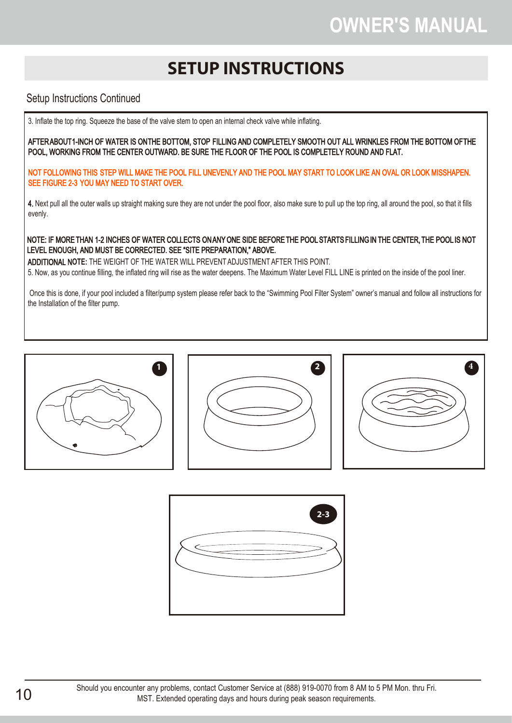## **OWNER′S MANUAL**

## **SETUP INSTRUCTIONS**

#### Setup Instructions Continued

3. Inflate the top ring. Squeeze the base of the valve stem to open an internal check valve while inflating.

AFTER ABOUT1-INCH OF WATER IS ON THE BOTTOM, STOP FILLING AND COMPLETELY SMOOTH OUT ALL WRINKLES FROM THE BOTTOM OF THE POOL, WORKING FROM THE CENTER OUTWARD. BE SURE THE FLOOR OF THE POOL IS COMPLETELY ROUND AND FLAT.

NOT FOLLOWING THIS STEP WILL MAKE THE POOL FILL UNEVENLY AND THE POOL MAY START TO LOOK LIKE AN OVAL OR LOOK MISSHAPEN. SEE FIGURE 2-3 YOU MAY NEED TO START OVER.

4. Next pull all the outer walls up straight making sure they are not under the pool floor, also make sure to pull up the top ring, all around the pool, so that it fills evenly.

NOTE: IF MORE THAN 1-2 INCHES OF WATER COLLECTS ON ANY ONE SIDE BEFORE THE POOL STARTS FILLING IN THE CENTER, THE POOL IS NOT LEVEL ENOUGH, AND MUST BE CORRECTED. SEE "SITE PREPARATION," ABOVE.

ADDITIONAL N**OTE:** THE WEIGHT OF THE WATER WILL PREVENT ADJUSTMENT AFTER THIS POINT. 5. Now, as you continue filling, the inflated ring will rise as the water deepens. The Maximum Water Level FILL LINE is printed on the inside of the pool liner.

Once this is done, if your pool included a filter/pump system please refer back to the "Swimming Pool Filter System" owner's manual and follow all instructions for the Installation of the filter pump.









Should you encounter any problems, contact Customer Service at (888) 919-0070 from 8 AM to 5 PM Mon. thru Fri.<br>MST Extended operating days and hours during peak season requirements MST. Extended operating days and hours during peak season requirements.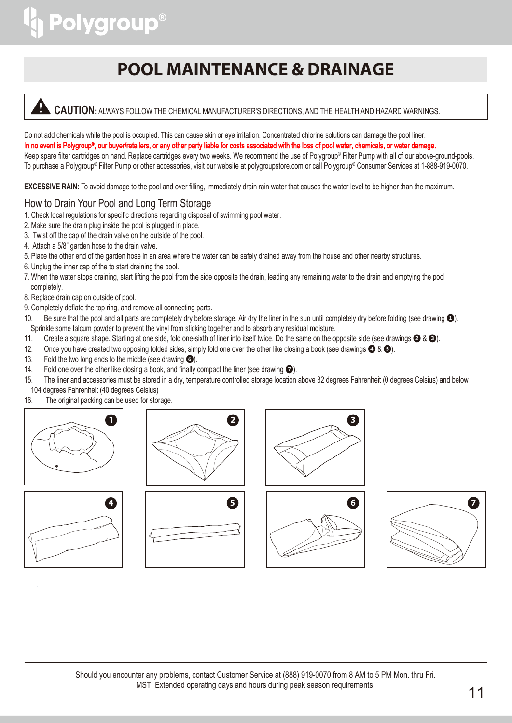## **POOL MAINTENANCE & DRAINAGE**

#### **CAUTION:** ALWAYS FOLLOW THE CHEMICAL MANUFACTURER'S DIRECTIONS, AND THE HEALTH AND HAZARD WARNINGS.

Do not add chemicals while the pool is occupied. This can cause skin or eye irritation. Concentrated chlorine solutions can damage the pool liner. In no event is Polygroup®, our buyer/retailers, or any other party liable for costs associated with the loss of pool water, chemicals, or water damage. Keep spare filter cartridges on hand. Replace cartridges every two weeks. We recommend the use of Polygroup® Filter Pump with all of our above-ground-pools. To purchase a Polygroup® Filter Pump or other accessories, visit our website at polygroupstore.com or call Polygroup® Consumer Services at 1-888-919-0070.

**EXCESSIVE RAIN:** To avoid damage to the pool and over filling, immediately drain rain water that causes the water level to be higher than the maximum.

#### How to Drain Your Pool and Long Term Storage

- 1. Check local regulations for specific directions regarding disposal of swimming pool water.
- 2. Make sure the drain plug inside the pool is plugged in place.
- 3. Twist off the cap of the drain valve on the outside of the pool.
- 4. Attach a 5/8" garden hose to the drain valve.
- 5. Place the other end of the garden hose in an area where the water can be safely drained away from the house and other nearby structures.
- 6. Unplug the inner cap of the to start draining the pool.
- 7. When the water stops draining, start lifting the pool from the side opposite the drain, leading any remaining water to the drain and emptying the pool completely.
- 8. Replace drain cap on outside of pool.
- 9. Completely deflate the top ring, and remove all connecting parts.
- 10. Be sure that the pool and all parts are completely dry before storage. Air dry the liner in the sun until completely dry before folding (see drawing  $\bullet$ ). Sprinkle some talcum powder to prevent the vinyl from sticking together and to absorb any residual moisture.
- 11. Create a square shape. Starting at one side, fold one-sixth of liner into itself twice. Do the same on the opposite side (see drawings  $\bigotimes$  &  $\bigotimes$ ).
- 12. Once you have created two opposing folded sides, simply fold one over the other like closing a book (see drawings  $\bigcirc$  &  $\bigcirc$ ).
- 13. Fold the two long ends to the middle (see drawing  $\odot$ ).
- 14. Fold one over the other like closing a book, and finally compact the liner (see drawing  $\bullet$ ).
- 15. The liner and accessories must be stored in a dry, temperature controlled storage location above 32 degrees Fahrenheit (0 degrees Celsius) and below 104 degrees Fahrenheit (40 degrees Celsius)
- 16. The original packing can be used for storage.











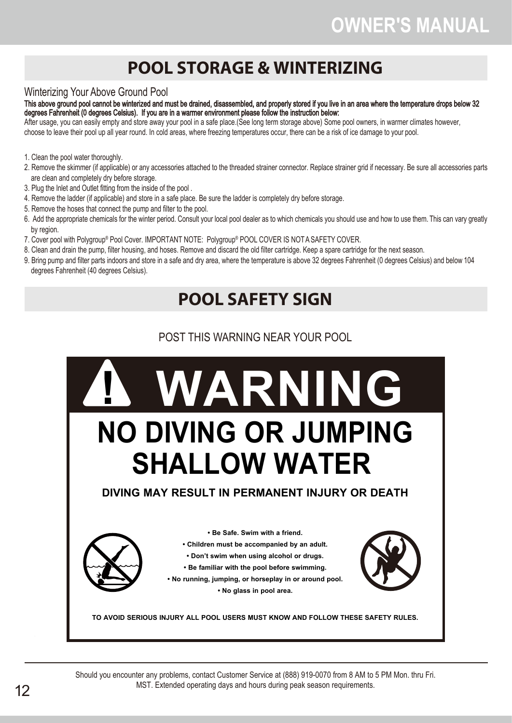## **OWNER′S MANUAL**

## **POOL STORAGE & WINTERIZING**

#### Winterizing Your Above Ground Pool

This above ground pool cannot be winterized and must be drained, disassembled, and properly stored if you live in an area where the temperature drops below 32 degrees Fahrenheit (0 degrees Celsius). If you are in a warmer environment please follow the instruction below:

After usage, you can easily empty and store away your pool in a safe place.(See long term storage above) Some pool owners, in warmer climates however, choose to leave their pool up all year round. In cold areas, where freezing temperatures occur, there can be a risk of ice damage to your pool.

- 1. Clean the pool water thoroughly.
- 2. Remove the skimmer (if applicable) or any accessories attached to the threaded strainer connector. Replace strainer grid if necessary. Be sure all accessories parts are clean and completely dry before storage.
- 3. Plug the Inlet and Outlet fitting from the inside of the pool .
- 4. Remove the ladder (if applicable) and store in a safe place. Be sure the ladder is completely dry before storage.
- 5. Remove the hoses that connect the pump and filter to the pool.
- 6. Add the appropriate chemicals for the winter period. Consult your local pool dealer as to which chemicals you should use and how to use them. This can vary greatly by region.
- 7. Cover pool with Polygroup® Pool Cover. IMPORTANT NOTE: Polygroup® POOL COVER IS NOT A SAFETY COVER.
- 8. Clean and drain the pump, filter housing, and hoses. Remove and discard the old filter cartridge. Keep a spare cartridge for the next season.
- 9. Bring pump and filter parts indoors and store in a safe and dry area, where the temperature is above 32 degrees Fahrenheit (0 degrees Celsius) and below 104 degrees Fahrenheit (40 degrees Celsius).

## **POOL SAFETY SIGN**

#### POST THIS WARNING NEAR YOUR POOL



Should you encounter any problems, contact Customer Service at (888) 919-0070 from 8 AM to 5 PM Mon. thru Fri. MST. Extended operating days and hours during peak season requirements.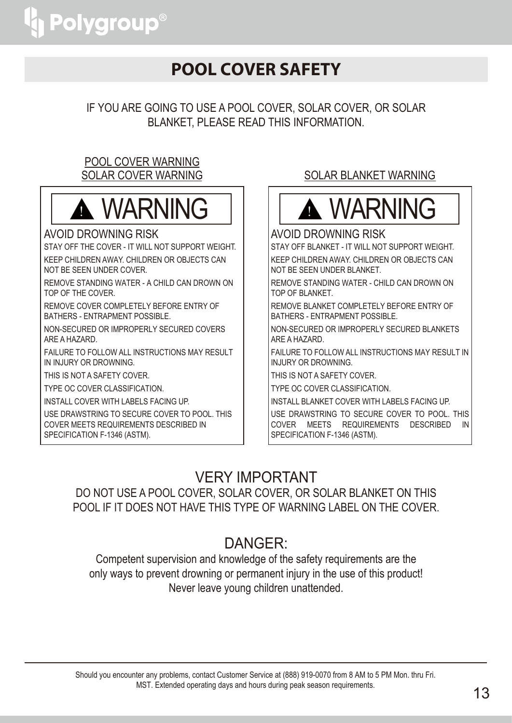## **POOL COVER SAFETY**

IF YOU ARE GOING TO USE A POOL COVER, SOLAR COVER, OR SOLAR BLANKET, PLEASE READ THIS INFORMATION.

#### POOL COVER WARNING SOLAR COVER WARNING



#### AVOID DROWNING RISK

STAY OFF THE COVER - IT WILL NOT SUPPORT WEIGHT. KEEP CHILDREN AWAY. CHILDREN OR OBJECTS CAN NOT BE SEEN UNDER COVER.

REMOVE STANDING WATER - A CHILD CAN DROWN ON TOP OF THE COVER.

REMOVE COVER COMPLETELY BEFORE ENTRY OF BATHERS - ENTRAPMENT POSSIBLE.

NON-SECURED OR IMPROPERLY SECURED COVERS ARE A HAZARD.

FAILURE TO FOLLOW ALL INSTRUCTIONS MAY RESULT IN INJURY OR DROWNING.

THIS IS NOT A SAFETY COVER.

TYPE OC COVER CLASSIFICATION.

INSTALL COVER WITH LABELS FACING UP.

USE DRAWSTRING TO SECURE COVER TO POOL. THIS COVER MEETS REQUIREMENTS DESCRIBED IN SPECIFICATION F-1346 (ASTM).

#### SOLAR BLANKET WARNING



#### AVOID DROWNING RISK

STAY OFF BLANKET - IT WILL NOT SUPPORT WEIGHT. KEEP CHILDREN AWAY. CHILDREN OR OBJECTS CAN NOT BE SEEN UNDER BLANKET.

REMOVE STANDING WATER - CHILD CAN DROWN ON TOP OF BLANKET.

REMOVE BLANKET COMPLETELY BEFORE ENTRY OF BATHERS - ENTRAPMENT POSSIBLE.

NON-SECURED OR IMPROPERLY SECURED BLANKETS ARE A HAZARD.

FAILURE TO FOLLOW ALL INSTRUCTIONS MAY RESULT IN INJURY OR DROWNING.

THIS IS NOT A SAFETY COVER.

TYPE OC COVER CLASSIFICATION.

INSTALL BLANKET COVER WITH LABELS FACING UP.

USE DRAWSTRING TO SECURE COVER TO POOL. THIS COVER MEETS REQUIREMENTS DESCRIBED IN SPECIFICATION F-1346 (ASTM).

### VERY IMPORTANT

DO NOT USE A POOL COVER, SOLAR COVER, OR SOLAR BLANKET ON THIS POOL IF IT DOES NOT HAVE THIS TYPE OF WARNING LABEL ON THE COVER.

### DANGER:

Competent supervision and knowledge of the safety requirements are the only ways to prevent drowning or permanent injury in the use of this product! Never leave young children unattended.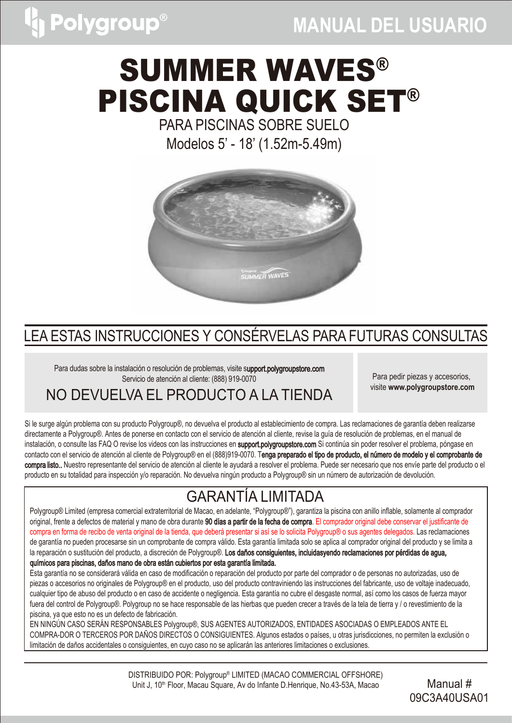## **MANUAL DEL USUARIO**

# SUMMER WAVES® PISCINA QUICK SET®

PARA PISCINAS SOBRE SUELO

Modelos 5' - 18' (1.52m-5.49m)



## LEA ESTAS INSTRUCCIONES Y CONSÉRVELAS PARA FUTURAS CONSULTAS

Para dudas sobre la instalación o resolución de problemas, visite support.polygroupstore.com Servicio de atención al cliente: (888) 919-0070

Para pedir piezas y accesorios, visite **www.polygroupstore.com**

## NO DEVUELVA EL PRODUCTO A LA TIENDA

Si le surge algún problema con su producto Polygroup®, no devuelva el producto al establecimiento de compra. Las reclamaciones de garantía deben realizarse directamente a Polygroup®. Antes de ponerse en contacto con el servicio de atención al cliente, revise la guía de resolución de problemas, en el manual de instalación, o consulte las FAQ O revise los videos con las instrucciones en support.polygroupstore.com Si continúa sin poder resolver el problema, póngase en contacto con el servicio de atención al cliente de Polygroup® en el (888)919-0070. Tenga preparado el tipo de producto, el número de modelo y el comprobante de compra listo.. Nuestro representante del servicio de atención al cliente le ayudará a resolver el problema. Puede ser necesario que nos envíe parte del producto o el producto en su totalidad para inspección y/o reparación. No devuelva ningún producto a Polygroup® sin un número de autorización de devolución.

## GARANTÍA LIMITADA

Polygroup® Limited (empresa comercial extraterritorial de Macao, en adelante, "Polygroup®"), garantiza la piscina con anillo inflable, solamente al comprador original, frente a defectos de material y mano de obra durante 90 días a partir de la fecha de compra. El comprador original debe conservar el justificante de compra en forma de recibo de venta original de la tienda, que deberá presentar si así se lo solicita Polygroup® o sus agentes delegados. Las reclamaciones de garantía no pueden procesarse sin un comprobante de compra válido. Esta garantía limitada solo se aplica al comprador original del producto y se limita a la reparación o sustitución del producto, a discreción de Polygroup®. Los daños consiguientes, incluidasyendo reclamaciones por pérdidas de agua, químicos para piscinas, daños mano de obra están cubiertos por esta garantía limitada.

Esta garantía no se considerará válida en caso de modificación o reparación del producto por parte del comprador o de personas no autorizadas, uso de piezas o accesorios no originales de Polygroup® en el producto, uso del producto contraviniendo las instrucciones del fabricante, uso de voltaje inadecuado, cualquier tipo de abuso del producto o en caso de accidente o negligencia. Esta garantía no cubre el desgaste normal, así como los casos de fuerza mayor fuera del control de Polygroup®. Polygroup no se hace responsable de las hierbas que pueden crecer a través de la tela de tierra y / o revestimiento de la piscina, ya que esto no es un defecto de fabricación.

EN NINGÚN CASO SERÁN RESPONSABLES Polygroup®, SUS AGENTES AUTORIZADOS, ENTIDADES ASOCIADAS O EMPLEADOS ANTE EL COMPRA-DOR O TERCEROS POR DAÑOS DIRECTOS O CONSIGUIENTES. Algunos estados o países, u otras jurisdicciones, no permiten la exclusión o limitación de daños accidentales o consiguientes, en cuyo caso no se aplicarán las anteriores limitaciones o exclusiones.

> DISTRIBUIDO POR: Polygroup® LIMITED (MACAO COMMERCIAL OFFSHORE) Unit J, 10<sup>th</sup> Floor, Macau Square, Av do Infante D.Henrique, No.43-53A, Macao Manual #

09C3A40USA01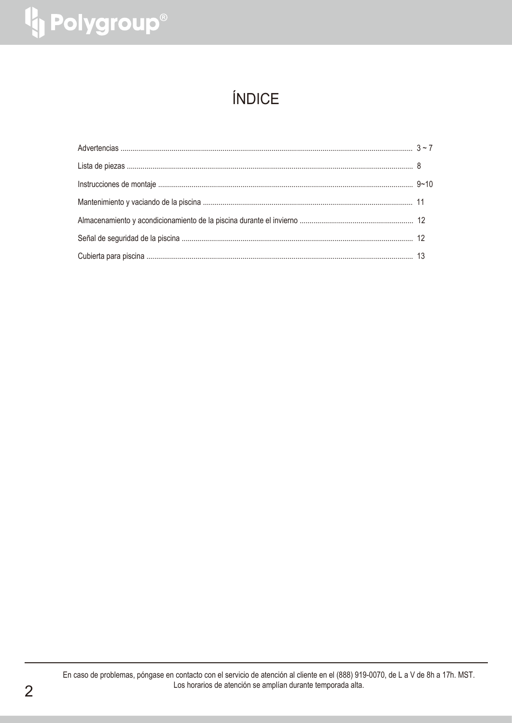# <sup>1</sup> Polygroup®

## ÍNDICE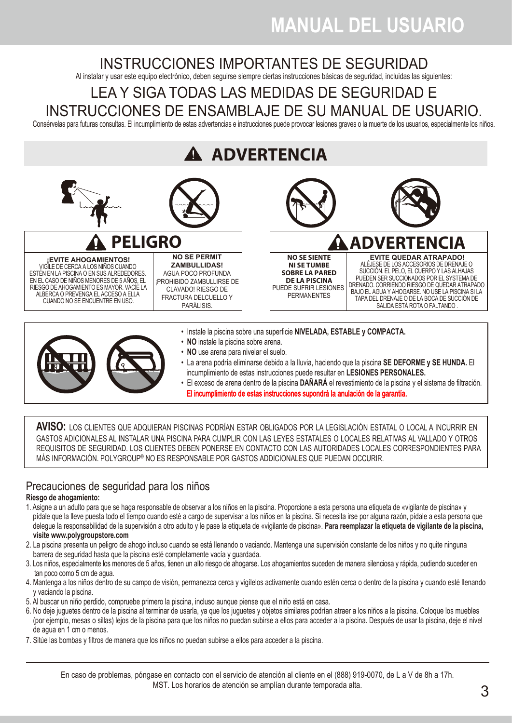## INSTRUCCIONES IMPORTANTES DE SEGURIDAD

Al instalar y usar este equipo electrónico, deben seguirse siempre ciertas instrucciones básicas de seguridad, incluidas las siguientes:

### LEA Y SIGA TODAS LAS MEDIDAS DE SEGURIDAD E INSTRUCCIONES DE ENSAMBLAJE DE SU MANUAL DE USUARIO.

Consérvelas para futuras consultas. El incumplimiento de estas advertencias e instrucciones puede provocar lesiones graves o la muerte de los usuarios, especialmente los niños.





- Instale la piscina sobre una superficie **NIVELADA, ESTABLE y COMPACTA.**
- **NO** instale la piscina sobre arena.
- **NO** use arena para nivelar el suelo.
- La arena podría eliminarse debido a la lluvia, haciendo que la piscina **SE DEFORME y SE HUNDA.** El incumplimiento de estas instrucciones puede resultar en **LESIONES PERSONALES.**
- El exceso de arena dentro de la piscina **DAÑARÁ** el revestimiento de la piscina y el sistema de filtración. El incumplimiento de estas instrucciones supondrá la anulación de la garantía.

**AVISO:** LOS CLIENTES QUE ADQUIERAN PISCINAS PODRÍAN ESTAR OBLIGADOS POR LA LEGISLACIÓN ESTATAL O LOCAL A INCURRIR EN GASTOS ADICIONALES AL INSTALAR UNA PISCINA PARA CUMPLIR CON LAS LEYES ESTATALES O LOCALES RELATIVAS AL VALLADO Y OTROS REQUISITOS DE SEGURIDAD. LOS CLIENTES DEBEN PONERSE EN CONTACTO CON LAS AUTORIDADES LOCALES CORRESPONDIENTES PARA MAS INFORMACIÓN. POLYGROUP® NO ES RESPONSABLE POR GASTOS ADDICIONALES QUE PUEDAN OCCURIR.

#### Precauciones de seguridad para los niños

#### **Riesgo de ahogamiento:**

- 1. Asigne a un adulto para que se haga responsable de observar a los niños en la piscina. Proporcione a esta persona una etiqueta de «vigilante de piscina» y pídale que la lleve puesta todo el tiempo cuando esté a cargo de supervisar a los niños en la piscina. Si necesita irse por alguna razón, pídale a esta persona que delegue la responsabilidad de la supervisión a otro adulto y le pase la etiqueta de «vigilante de piscina». **Para reemplazar la etiqueta de vigilante de la piscina, visite www.polygroupstore.com**
- 2. La piscina presenta un peligro de ahogo incluso cuando se está llenando o vaciando. Mantenga una supervisión constante de los niños y no quite ninguna barrera de seguridad hasta que la piscina esté completamente vacía y guardada.
- 3. Los niños, especialmente los menores de 5 años, tienen un alto riesgo de ahogarse. Los ahogamientos suceden de manera silenciosa y rápida, pudiendo suceder en tan poco como 5 cm de agua.
- 4. Mantenga a los niños dentro de su campo de visión, permanezca cerca y vigílelos activamente cuando estén cerca o dentro de la piscina y cuando esté llenando y vaciando la piscina.
- 5. Al buscar un niño perdido, compruebe primero la piscina, incluso aunque piense que el niño está en casa.
- 6. No deje juguetes dentro de la piscina al terminar de usarla, ya que los juguetes y objetos similares podrían atraer a los niños a la piscina. Coloque los muebles (por ejemplo, mesas o sillas) lejos de la piscina para que los niños no puedan subirse a ellos para acceder a la piscina. Después de usar la piscina, deje el nivel de agua en 1 cm o menos.
- 7. Sitúe las bombas y filtros de manera que los niños no puedan subirse a ellos para acceder a la piscina.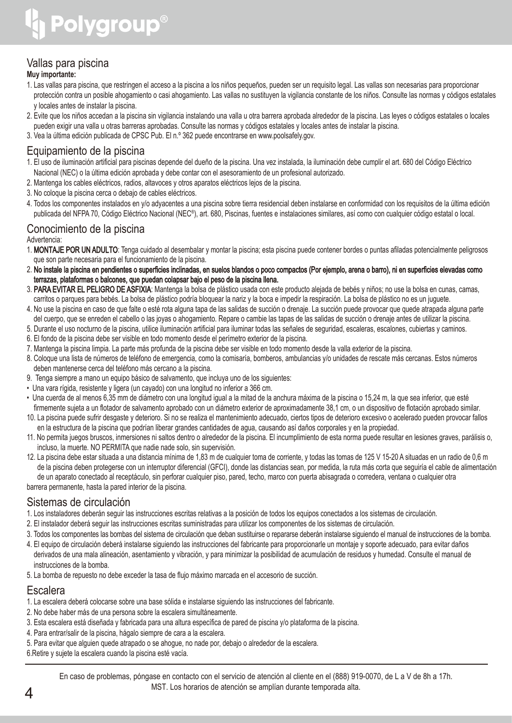

#### Vallas para piscina

#### **Muy importante:**

- 1. Las vallas para piscina, que restringen el acceso a la piscina a los niños pequeños, pueden ser un requisito legal. Las vallas son necesarias para proporcionar protección contra un posible ahogamiento o casi ahogamiento. Las vallas no sustituyen la vigilancia constante de los niños. Consulte las normas y códigos estatales y locales antes de instalar la piscina.
- 2. Evite que los niños accedan a la piscina sin vigilancia instalando una valla u otra barrera aprobada alrededor de la piscina. Las leyes o códigos estatales o locales pueden exigir una valla u otras barreras aprobadas. Consulte las normas y códigos estatales y locales antes de instalar la piscina.
- 3. Vea la última edición publicada de CPSC Pub. El n.º 362 puede encontrarse en www.poolsafely.gov.

#### Equipamiento de la piscina

- 1. El uso de iluminación artificial para piscinas depende del dueño de la piscina. Una vez instalada, la iluminación debe cumplir el art. 680 del Código Eléctrico Nacional (NEC) o la última edición aprobada y debe contar con el asesoramiento de un profesional autorizado.
- 2. Mantenga los cables eléctricos, radios, altavoces y otros aparatos eléctricos lejos de la piscina.
- 3. No coloque la piscina cerca o debajo de cables eléctricos.
- 4. Todos los componentes instalados en y/o adyacentes a una piscina sobre tierra residencial deben instalarse en conformidad con los requisitos de la última edición publicada del NFPA 70, Código Eléctrico Nacional (NEC®), art. 680, Piscinas, fuentes e instalaciones similares, así como con cualquier código estatal o local.

#### Conocimiento de la piscina

#### Advertencia:

- 1. MONTAJE POR UN ADULTO: Tenga cuidado al desembalar y montar la piscina; esta piscina puede contener bordes o puntas afiladas potencialmente peligrosos que son parte necesaria para el funcionamiento de la piscina.
- 2. No instale la piscina en pendientes o superficies inclinadas, en suelos blandos o poco compactos (Por ejemplo, arena o barro), ni en superficies elevadas como terrazas, plataformas o balcones, que puedan colapsar bajo el peso de la piscina llena.
- 3. PARA EVITAR EL PELIGRO DE ASFIXIA: Mantenga la bolsa de plástico usada con este producto alejada de bebés y niños; no use la bolsa en cunas, camas, carritos o parques para bebés. La bolsa de plástico podría bloquear la nariz y la boca e impedir la respiración. La bolsa de plástico no es un juguete.
- 4. No use la piscina en caso de que falte o esté rota alguna tapa de las salidas de succión o drenaje. La succión puede provocar que quede atrapada alguna parte del cuerpo, que se enreden el cabello o las joyas o ahogamiento. Repare o cambie las tapas de las salidas de succión o drenaje antes de utilizar la piscina.
- 5. Durante el uso nocturno de la piscina, utilice iluminación artificial para iluminar todas las señales de seguridad, escaleras, escalones, cubiertas y caminos.
- 6. El fondo de la piscina debe ser visible en todo momento desde el perímetro exterior de la piscina.
- 7. Mantenga la piscina limpia. La parte más profunda de la piscina debe ser visible en todo momento desde la valla exterior de la piscina.
- 8. Coloque una lista de números de teléfono de emergencia, como la comisaría, bomberos, ambulancias y/o unidades de rescate más cercanas. Estos números deben mantenerse cerca del teléfono más cercano a la piscina.
- 9. Tenga siempre a mano un equipo básico de salvamento, que incluya uno de los siguientes:
- Una vara rígida, resistente y ligera (un cayado) con una longitud no inferior a 366 cm.
- Una cuerda de al menos 6,35 mm de diámetro con una longitud igual a la mitad de la anchura máxima de la piscina o 15,24 m, la que sea inferior, que esté firmemente sujeta a un flotador de salvamento aprobado con un diámetro exterior de aproximadamente 38,1 cm, o un dispositivo de flotación aprobado similar.
- 10. La piscina puede sufrir desgaste y deterioro. Si no se realiza el mantenimiento adecuado, ciertos tipos de deterioro excesivo o acelerado pueden provocar fallos en la estructura de la piscina que podrían liberar grandes cantidades de agua, causando así daños corporales y en la propiedad.
- 11. No permita juegos bruscos, inmersiones ni saltos dentro o alrededor de la piscina. El incumplimiento de esta norma puede resultar en lesiones graves, parálisis o, incluso, la muerte. NO PERMITA que nadie nade solo, sin supervisión.
- 12. La piscina debe estar situada a una distancia mínima de 1,83 m de cualquier toma de corriente, y todas las tomas de 125 V 15-20 A situadas en un radio de 0,6 m de la piscina deben protegerse con un interruptor diferencial (GFCI), donde las distancias sean, por medida, la ruta más corta que seguiría el cable de alimentación de un aparato conectado al receptáculo, sin perforar cualquier piso, pared, techo, marco con puerta abisagrada o corredera, ventana o cualquier otra barrera permanente, hasta la pared interior de la piscina.

#### Sistemas de circulación

- 1. Los instaladores deberán seguir las instrucciones escritas relativas a la posición de todos los equipos conectados a los sistemas de circulación.
- 2. El instalador deberá seguir las instrucciones escritas suministradas para utilizar los componentes de los sistemas de circulación.
- 3. Todos los componentes las bombas del sistema de circulación que deban sustituirse o repararse deberán instalarse siguiendo el manual de instrucciones de la bomba.
- 4. El equipo de circulación deberá instalarse siguiendo las instrucciones del fabricante para proporcionarle un montaje y soporte adecuado, para evitar daños derivados de una mala alineación, asentamiento y vibración, y para minimizar la posibilidad de acumulación de residuos y humedad. Consulte el manual de instrucciones de la bomba.
- 5. La bomba de repuesto no debe exceder la tasa de flujo máximo marcada en el accesorio de succión.

#### Escalera

- 1. La escalera deberá colocarse sobre una base sólida e instalarse siguiendo las instrucciones del fabricante.
- 2. No debe haber más de una persona sobre la escalera simultáneamente.
- 3. Esta escalera está diseñada y fabricada para una altura específica de pared de piscina y/o plataforma de la piscina.
- 4. Para entrar/salir de la piscina, hágalo siempre de cara a la escalera.
- 5. Para evitar que alguien quede atrapado o se ahogue, no nade por, debajo o alrededor de la escalera.

6.Retire y sujete la escalera cuando la piscina esté vacía.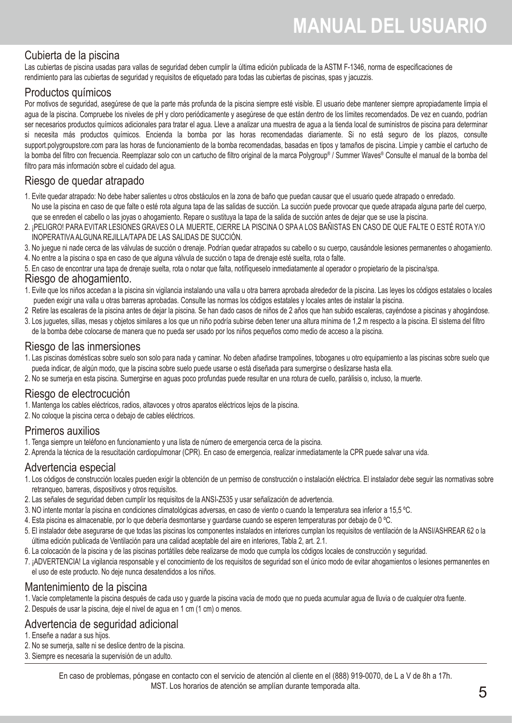#### Cubierta de la piscina

Las cubiertas de piscina usadas para vallas de seguridad deben cumplir la última edición publicada de la ASTM F-1346, norma de especificaciones de rendimiento para las cubiertas de seguridad y requisitos de etiquetado para todas las cubiertas de piscinas, spas y jacuzzis.

#### Productos químicos

Por motivos de seguridad, asegúrese de que la parte más profunda de la piscina siempre esté visible. El usuario debe mantener siempre apropiadamente limpia el agua de la piscina. Compruebe los niveles de pH y cloro periódicamente y asegúrese de que están dentro de los límites recomendados. De vez en cuando, podrían ser necesarios productos químicos adicionales para tratar el agua. Lleve a analizar una muestra de agua a la tienda local de suministros de piscina para determinar si necesita más productos químicos. Encienda la bomba por las horas recomendadas diariamente. Si no está seguro de los plazos, consulte support.polygroupstore.com para las horas de funcionamiento de la bomba recomendadas, basadas en tipos y tamaños de piscina. Limpie y cambie el cartucho de la bomba del filtro con frecuencia. Reemplazar solo con un cartucho de filtro original de la marca Polygroup® / Summer Waves® Consulte el manual de la bomba del filtro para más información sobre el cuidado del agua.

#### Riesgo de quedar atrapado

- 1. Evite quedar atrapado: No debe haber salientes u otros obstáculos en la zona de baño que puedan causar que el usuario quede atrapado o enredado. No use la piscina en caso de que falte o esté rota alguna tapa de las salidas de succión. La succión puede provocar que quede atrapada alguna parte del cuerpo,
- que se enreden el cabello o las joyas o ahogamiento. Repare o sustituya la tapa de la salida de succión antes de dejar que se use la piscina.
- 2. ¡PELIGRO! PARA EVITAR LESIONES GRAVES O LA MUERTE, CIERRE LA PISCINA O SPA A LOS BAÑISTAS EN CASO DE QUE FALTE O ESTÉ ROTA Y/O INOPERATIVA ALGUNA REJILLA/TAPA DE LAS SALIDAS DE SUCCIÓN.
- 3. No juegue ni nade cerca de las válvulas de succión o drenaje. Podrían quedar atrapados su cabello o su cuerpo, causándole lesiones permanentes o ahogamiento.
- 4. No entre a la piscina o spa en caso de que alguna válvula de succión o tapa de drenaje esté suelta, rota o falte.
- 5. En caso de encontrar una tapa de drenaje suelta, rota o notar que falta, notifíqueselo inmediatamente al operador o propietario de la piscina/spa.

#### Riesgo de ahogamiento.

- 1. Evite que los niños accedan a la piscina sin vigilancia instalando una valla u otra barrera aprobada alrededor de la piscina. Las leyes los códigos estatales o locales pueden exigir una valla u otras barreras aprobadas. Consulte las normas los códigos estatales y locales antes de instalar la piscina.
- 2 Retire las escaleras de la piscina antes de dejar la piscina. Se han dado casos de niños de 2 años que han subido escaleras, cayéndose a piscinas y ahogándose.
- 3. Los juguetes, sillas, mesas y objetos similares a los que un niño podría subirse deben tener una altura mínima de 1,2 m respecto a la piscina. El sistema del filtro de la bomba debe colocarse de manera que no pueda ser usado por los niños pequeños como medio de acceso a la piscina.

#### Riesgo de las inmersiones

- 1. Las piscinas domésticas sobre suelo son solo para nada y caminar. No deben añadirse trampolines, toboganes u otro equipamiento a las piscinas sobre suelo que pueda indicar, de algún modo, que la piscina sobre suelo puede usarse o está diseñada para sumergirse o deslizarse hasta ella.
- 2. No se sumerja en esta piscina. Sumergirse en aguas poco profundas puede resultar en una rotura de cuello, parálisis o, incluso, la muerte.

#### Riesgo de electrocución

- 1. Mantenga los cables eléctricos, radios, altavoces y otros aparatos eléctricos lejos de la piscina.
- 2. No coloque la piscina cerca o debajo de cables eléctricos.

#### Primeros auxilios

- 1. Tenga siempre un teléfono en funcionamiento y una lista de número de emergencia cerca de la piscina.
- 2. Aprenda la técnica de la resucitación cardiopulmonar (CPR). En caso de emergencia, realizar inmediatamente la CPR puede salvar una vida.

#### Advertencia especial

- 1. Los códigos de construcción locales pueden exigir la obtención de un permiso de construcción o instalación eléctrica. El instalador debe seguir las normativas sobre retranqueo, barreras, dispositivos y otros requisitos.
- 2. Las señales de seguridad deben cumplir los requisitos de la ANSI-Z535 y usar señalización de advertencia.
- 3. NO intente montar la piscina en condiciones climatológicas adversas, en caso de viento o cuando la temperatura sea inferior a 15,5 ºC.
- 4. Esta piscina es almacenable, por lo que debería desmontarse y guardarse cuando se esperen temperaturas por debajo de 0 ºC.
- 5. El instalador debe asegurarse de que todas las piscinas los componentes instalados en interiores cumplan los requisitos de ventilación de la ANSI/ASHREAR 62 o la última edición publicada de Ventilación para una calidad aceptable del aire en interiores, Tabla 2, art. 2.1.
- 6. La colocación de la piscina y de las piscinas portátiles debe realizarse de modo que cumpla los códigos locales de construcción y seguridad.
- 7. ¡ADVERTENCIA! La vigilancia responsable y el conocimiento de los requisitos de seguridad son el único modo de evitar ahogamientos o lesiones permanentes en el uso de este producto. No deje nunca desatendidos a los niños.

#### Mantenimiento de la piscina

- 1. Vacíe completamente la piscina después de cada uso y guarde la piscina vacía de modo que no pueda acumular agua de lluvia o de cualquier otra fuente.
- 2. Después de usar la piscina, deje el nivel de agua en 1 cm (1 cm) o menos.

#### Advertencia de seguridad adicional

- 1. Enseñe a nadar a sus hijos.
- 2. No se sumerja, salte ni se deslice dentro de la piscina.
- 3. Siempre es necesaria la supervisión de un adulto.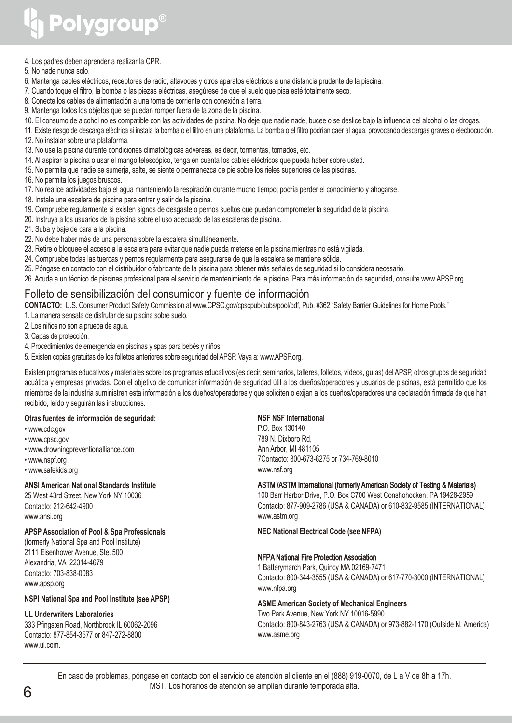#### 4. Los padres deben aprender a realizar la CPR.

- 5. No nade nunca solo.
- 6. Mantenga cables eléctricos, receptores de radio, altavoces y otros aparatos eléctricos a una distancia prudente de la piscina.
- 7. Cuando toque el filtro, la bomba o las piezas eléctricas, asegúrese de que el suelo que pisa esté totalmente seco.
- 8. Conecte los cables de alimentación a una toma de corriente con conexión a tierra.
- 9. Mantenga todos los objetos que se puedan romper fuera de la zona de la piscina.
- 10. El consumo de alcohol no es compatible con las actividades de piscina. No deje que nadie nade, bucee o se deslice bajo la influencia del alcohol o las drogas.
- 11. Existe riesgo de descarga eléctrica si instala la bomba o el filtro en una plataforma. La bomba o el filtro podrían caer al agua, provocando descargas graves o electrocución.
- 12. No instalar sobre una plataforma.
- 13. No use la piscina durante condiciones climatológicas adversas, es decir, tormentas, tornados, etc.
- 14. Al aspirar la piscina o usar el mango telescópico, tenga en cuenta los cables eléctricos que pueda haber sobre usted.
- 15. No permita que nadie se sumerja, salte, se siente o permanezca de pie sobre los rieles superiores de las piscinas.
- 16. No permita los juegos bruscos.
- 17. No realice actividades bajo el agua manteniendo la respiración durante mucho tiempo; podría perder el conocimiento y ahogarse.
- 18. Instale una escalera de piscina para entrar y salir de la piscina.
- 19. Compruebe regularmente si existen signos de desgaste o pernos sueltos que puedan comprometer la seguridad de la piscina.
- 20. Instruya a los usuarios de la piscina sobre el uso adecuado de las escaleras de piscina.
- 21. Suba y baje de cara a la piscina.
- 22. No debe haber más de una persona sobre la escalera simultáneamente.
- 23. Retire o bloquee el acceso a la escalera para evitar que nadie pueda meterse en la piscina mientras no está vigilada.
- 24. Compruebe todas las tuercas y pernos regularmente para asegurarse de que la escalera se mantiene sólida.
- 25. Póngase en contacto con el distribuidor o fabricante de la piscina para obtener más señales de seguridad si lo considera necesario.
- 26. Acuda a un técnico de piscinas profesional para el servicio de mantenimiento de la piscina. Para más información de seguridad, consulte www.APSP.org.

#### Folleto de sensibilización del consumidor y fuente de información

**CONTACTO:** U.S. Consumer Product Safety Commission at www.CPSC.gov/cpscpub/pubs/pool/pdf, Pub. #362 "Safety Barrier Guidelines for Home Pools."

- 1. La manera sensata de disfrutar de su piscina sobre suelo.
- 2. Los niños no son a prueba de agua.
- 3. Capas de protección.
- 4. Procedimientos de emergencia en piscinas y spas para bebés y niños.
- 5. Existen copias gratuitas de los folletos anteriores sobre seguridad del APSP. Vaya a: www.APSP.org.

Existen programas educativos y materiales sobre los programas educativos (es decir, seminarios, talleres, folletos, vídeos, guías) del APSP, otros grupos de seguridad acuática y empresas privadas. Con el objetivo de comunicar información de seguridad útil a los dueños/operadores y usuarios de piscinas, está permitido que los miembros de la industria suministren esta información a los dueños/operadores y que soliciten o exijan a los dueños/operadores una declaración firmada de que han recibido, leído y seguirán las instrucciones.

#### **Otras fuentes de información de seguridad:**

- www.cdc.gov
- www.cpsc.gov
- www.drowningpreventionalliance.com
- www.nspf.org
- www.safekids.org

#### **ANSI American National Standards Institute**

25 West 43rd Street, New York NY 10036 Contacto: 212-642-4900 www.ansi.org

#### **APSP Association of Pool & Spa Professionals**

(formerly National Spa and Pool Institute) 2111 Eisenhower Avenue, Ste. 500 Alexandria, VA 22314-4679 Contacto: 703-838-0083 www.apsp.org

#### **NSPI National Spa and Pool Institute (s**ee **APSP)**

#### **UL Underwriters Laboratories**

333 Pfingsten Road, Northbrook IL 60062-2096 Contacto: 877-854-3577 or 847-272-8800 www.ul.com.

#### **NSF NSF International**

P.O. Box 130140 789 N. Dixboro Rd, Ann Arbor, MI 481105 7Contacto: 800-673-6275 or 734-769-8010 www.nsf.org

#### ASTM /ASTM International (formerly American Society of Testing & Materials)

100 Barr Harbor Drive, P.O. Box C700 West Conshohocken, PA 19428-2959 Contacto: 877-909-2786 (USA & CANADA) or 610-832-9585 (INTERNATIONAL) www.astm.org

**NEC National Electrical Code (see NFPA)**

#### NFPA National Fire Protection Association

1 Batterymarch Park, Quincy MA 02169-7471 Contacto: 800-344-3555 (USA & CANADA) or 617-770-3000 (INTERNATIONAL) www.nfpa.org

#### **ASME American Society of Mechanical Engineers**

Two Park Avenue, New York NY 10016-5990 Contacto: 800-843-2763 (USA & CANADA) or 973-882-1170 (Outside N. America) www.asme.org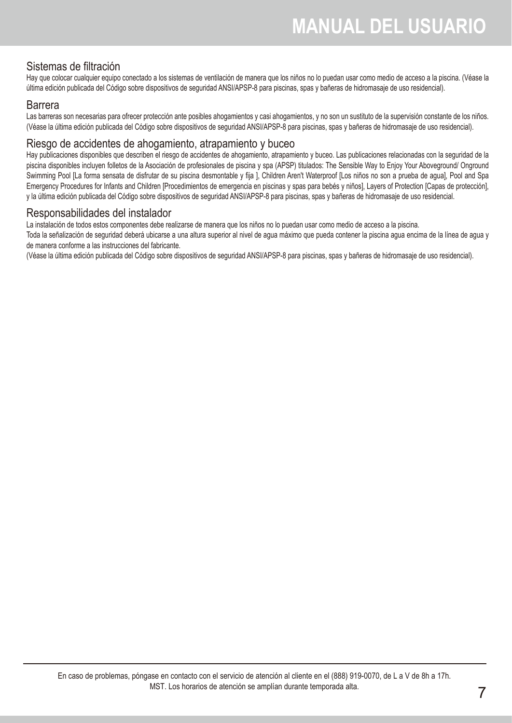#### Sistemas de filtración

Hay que colocar cualquier equipo conectado a los sistemas de ventilación de manera que los niños no lo puedan usar como medio de acceso a la piscina. (Véase la última edición publicada del Código sobre dispositivos de seguridad ANSI/APSP-8 para piscinas, spas y bañeras de hidromasaje de uso residencial).

#### Barrera

Las barreras son necesarias para ofrecer protección ante posibles ahogamientos y casi ahogamientos, y no son un sustituto de la supervisión constante de los niños. (Véase la última edición publicada del Código sobre dispositivos de seguridad ANSI/APSP-8 para piscinas, spas y bañeras de hidromasaje de uso residencial).

#### Riesgo de accidentes de ahogamiento, atrapamiento y buceo

Hay publicaciones disponibles que describen el riesgo de accidentes de ahogamiento, atrapamiento y buceo. Las publicaciones relacionadas con la seguridad de la piscina disponibles incluyen folletos de la Asociación de profesionales de piscina y spa (APSP) titulados: The Sensible Way to Enjoy Your Aboveground/ Onground Swimming Pool [La forma sensata de disfrutar de su piscina desmontable y fija ], Children Aren't Waterproof [Los niños no son a prueba de agua], Pool and Spa Emergency Procedures for Infants and Children [Procedimientos de emergencia en piscinas y spas para bebés y niños], Layers of Protection [Capas de protección], y la última edición publicada del Código sobre dispositivos de seguridad ANSI/APSP-8 para piscinas, spas y bañeras de hidromasaje de uso residencial.

#### Responsabilidades del instalador

La instalación de todos estos componentes debe realizarse de manera que los niños no lo puedan usar como medio de acceso a la piscina.

Toda la señalización de seguridad deberá ubicarse a una altura superior al nivel de agua máximo que pueda contener la piscina agua encima de la línea de agua y de manera conforme a las instrucciones del fabricante.

(Véase la última edición publicada del Código sobre dispositivos de seguridad ANSI/APSP-8 para piscinas, spas y bañeras de hidromasaje de uso residencial).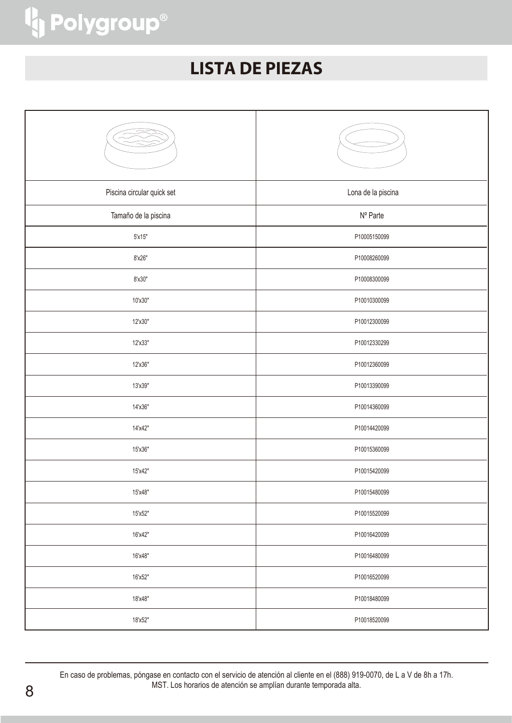### **LISTA DE PIEZAS**

| Piscina circular quick set | Lona de la piscina |
|----------------------------|--------------------|
| Tamaño de la piscina       | Nº Parte           |
| 5'x15"                     | P10005150099       |
| 8'x26"                     | P10008260099       |
| 8'x30"                     | P10008300099       |
| 10'x30"                    | P10010300099       |
| 12'x30"                    | P10012300099       |
| 12'x33"                    | P10012330299       |
| 12'x36"                    | P10012360099       |
| 13'x39"                    | P10013390099       |
| 14'x36"                    | P10014360099       |
| 14'x42"                    | P10014420099       |
| 15'x36"                    | P10015360099       |
| 15'x42"                    | P10015420099       |
| 15'x48"                    | P10015480099       |
| 15'x52"                    | P10015520099       |
| 16'x42"                    | P10016420099       |
| 16'x48"                    | P10016480099       |
| 16'x52"                    | P10016520099       |
| 18'x48"                    | P10018480099       |
| 18'x52"                    | P10018520099       |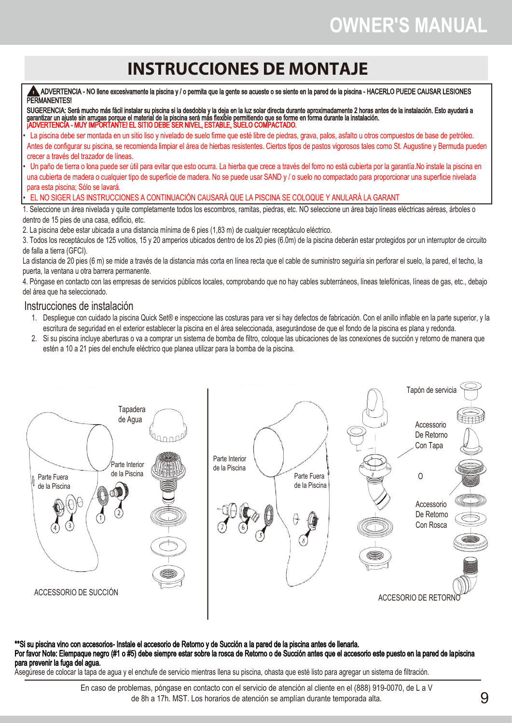## **OWNER′S MANUAL**

## **INSTRUCCIONES DE MONTAJE**

 ADVERTENCIA - NO llene excesivamente la piscina y / o permita que la gente se acueste o se siente en la pared de la piscina - HACERLO PUEDE CAUSAR LESIONES PERMANENTES!

SUGERENCIA: Será mucho más fácil instalar su piscina si la desdobla y la deja en la luz solar directa durante aproximadamente 2 horas antes de la instalación. Esto ayudará a garantizar un ajuste sin arrugas porque el material de la piscina será más flexible permitiendo que se forme en forma durante la instalación. ¡ADVERTENCIA - MUY IMPORTANTE! EL SITIO DEBE SER NIVEL, ESTABLE, SUELO COMPACTADO.

- La piscina debe ser montada en un sitio liso y nivelado de suelo firme que esté libre de piedras, grava, palos, asfalto u otros compuestos de base de petróleo. Antes de configurar su piscina, se recomienda limpiar el área de hierbas resistentes. Ciertos tipos de pastos vigorosos tales como St. Augustine y Bermuda pueden crecer a través del trazador de líneas.
- Un paño de tierra o lona puede ser útil para evitar que esto ocurra. La hierba que crece a través del forro no está cubierta por la garantía.No instale la piscina en una cubierta de madera o cualquier tipo de superficie de madera. No se puede usar SAND y / o suelo no compactado para proporcionar una superficie nivelada para esta piscina; Sólo se lavará.

• EL NO SIGER LAS INSTRUCCIONES A CONTINUACIÓN CAUSARÁ QUE LA PISCINA SE COLOQUE Y ANULARÁ LA GARANT

1. Seleccione un área nivelada y quite completamente todos los escombros, ramitas, piedras, etc. NO seleccione un área bajo líneas eléctricas aéreas, árboles o dentro de 15 pies de una casa, edificio, etc.

2. La piscina debe estar ubicada a una distancia mínima de 6 pies (1,83 m) de cualquier receptáculo eléctrico.

3. Todos los receptáculos de 125 voltios, 15 y 20 amperios ubicados dentro de los 20 pies (6.0m) de la piscina deberán estar protegidos por un interruptor de circuito de falla a tierra (GFCI).

La distancia de 20 pies (6 m) se mide a través de la distancia más corta en línea recta que el cable de suministro seguiría sin perforar el suelo, la pared, el techo, la puerta, la ventana u otra barrera permanente.

4. Póngase en contacto con las empresas de servicios públicos locales, comprobando que no hay cables subterráneos, líneas telefónicas, líneas de gas, etc., debajo del área que ha seleccionado.

#### Instrucciones de instalación

- 1. Despliegue con cuidado la piscina Quick Set® e inspeccione las costuras para ver si hay defectos de fabricación. Con el anillo inflable en la parte superior, y la escritura de seguridad en el exterior establecer la piscina en el área seleccionada, asegurándose de que el fondo de la piscina es plana y redonda.
- 2. Si su piscina incluye aberturas o va a comprar un sistema de bomba de filtro, coloque las ubicaciones de las conexiones de succión y retorno de manera que estén a 10 a 21 pies del enchufe eléctrico que planea utilizar para la bomba de la piscina.



#### \*\*Si su piscina vino con accesorios- Instale el accesorio de Retorno y de Succión a la pared de la piscina antes de llenarla. Por favor Note: Elempaque negro (#1 o #5) debe siempre estar sobre la rosca de Retorno o de Succión antes que el accesorio este puesto en la pared de lapiscina para prevenir la fuga del agua.

Asegúrese de colocar la tapa de agua y el enchufe de servicio mientras llena su piscina, ohasta que esté listo para agregar un sistema de filtración.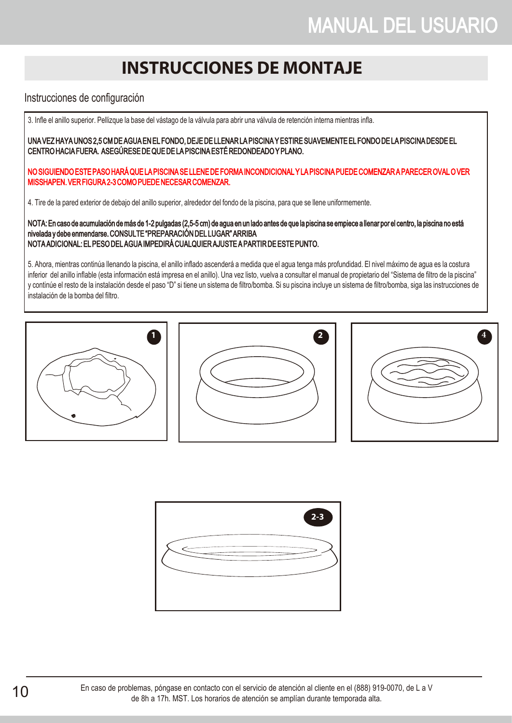## **INSTRUCCIONES DE MONTAJE**

#### Instrucciones de configuración

3. Infle el anillo superior. Pellizque la base del vástago de la válvula para abrir una válvula de retención interna mientras infla.

UNA VEZ HAYA UNOS 2,5 CM DE AGUA EN EL FONDO, DEJE DE LLENAR LA PISCINA Y ESTIRE SUAVEMENTE EL FONDO DE LA PISCINA DESDE EL CENTRO HACIA FUERA. ASEGÚRESE DE QUE DE LA PISCINA ESTÉ REDONDEADO Y PLANO.

NO SIGUIENDO ESTE PASO HARÁ QUE LA PISCINA SE LLENE DE FORMA INCONDICIONAL Y LA PISCINA PUEDE COMENZAR A PARECER OVAL O VER MISSHAPEN. VER FIGURA 2-3 COMO PUEDE NECESAR COMENZAR.

4. Tire de la pared exterior de debajo del anillo superior, alrededor del fondo de la piscina, para que se llene uniformemente.

NOTA: En caso de acumulación de más de 1-2 pulgadas (2,5-5 cm) de agua en un lado antes de que la piscina se empiece a llenar por el centro, la piscina no está nivelada y debe enmendarse. CONSULTE "PREPARACIÓN DEL LUGAR" ARRIBA NOTA ADICIONAL: EL PESO DEL AGUA IMPEDIRÁ CUALQUIER AJUSTE A PARTIR DE ESTE PUNTO.

5. Ahora, mientras continúa llenando la piscina, el anillo inflado ascenderá a medida que el agua tenga más profundidad. El nivel máximo de agua es la costura inferior del anillo inflable (esta información está impresa en el anillo). Una vez listo, vuelva a consultar el manual de propietario del "Sistema de filtro de la piscina" y continúe el resto de la instalación desde el paso "D" si tiene un sistema de filtro/bomba. Si su piscina incluye un sistema de filtro/bomba, siga las instrucciones de instalación de la bomba del filtro.







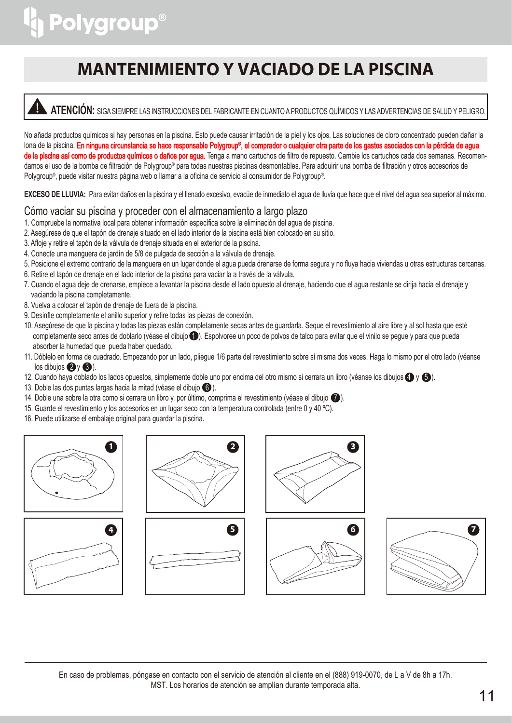## **MANTENIMIENTO Y VACIADO DE LA PISCINA**

### **ATENCIÓN:** SIGA SIEMPRE LAS INSTRUCCIONES DEL FABRICANTE EN CUANTO A PRODUCTOS QUÍMICOS Y LAS ADVERTENCIAS DE SALUD Y PELIGRO.

No añada productos químicos si hay personas en la piscina. Esto puede causar irritación de la piel y los ojos. Las soluciones de cloro concentrado pueden dañar la lona de la piscina. **En ninguna circunstancia se hace responsable Polygroup®, el comprador o cualquier otra parte de los gastos asociados con la pérdida de agua** de la piscina así como de productos químicos o daños por agua. Tenga a mano cartuchos de filtro de repuesto. Cambie los cartuchos cada dos semanas. Recomendamos el uso de la bomba de filtración de Polygroup® para todas nuestras piscinas desmontables. Para adquirir una bomba de filtración y otros accesorios de Polygroup® , puede visitar nuestra página web o llamar a la oficina de servicio al consumidor de Polygroup® .

**EXCESO DE LLUVIA:** Para evitar daños en la piscina y el llenado excesivo, evacúe de inmediato el agua de lluvia que hace que el nivel del agua sea superior al máximo.

#### Cómo vaciar su piscina y proceder con el almacenamiento a largo plazo

- 1. Compruebe la normativa local para obtener información específica sobre la eliminación del agua de piscina.
- 2. Asegúrese de que el tapón de drenaje situado en el lado interior de la piscina está bien colocado en su sitio.
- 3. Afloje y retire el tapón de la válvula de drenaje situada en el exterior de la piscina.
- 4. Conecte una manguera de jardín de 5/8 de pulgada de sección a la válvula de drenaje.
- 5. Posicione el extremo contrario de la manguera en un lugar donde el agua pueda drenarse de forma segura y no fluya hacia viviendas u otras estructuras cercanas.
- 6. Retire el tapón de drenaje en el lado interior de la piscina para vaciar la a través de la válvula.
- 7. Cuando el agua deje de drenarse, empiece a levantar la piscina desde el lado opuesto al drenaje, haciendo que el agua restante se dirija hacia el drenaje y vaciando la piscina completamente.
- 8. Vuelva a colocar el tapón de drenaje de fuera de la piscina.
- 9. Desinfle completamente el anillo superior y retire todas las piezas de conexión.
- 10. Asegúrese de que la piscina y todas las piezas están completamente secas antes de guardarla. Seque el revestimiento al aire libre y al sol hasta que esté completamente seco antes de doblarlo (véase el dibujo  $\bigcirc$ ). Espolvoree un poco de polvos de talco para evitar que el vinilo se pegue y para que pueda absorber la humedad que pueda haber quedado.
- 11. Dóblelo en forma de cuadrado. Empezando por un lado, pliegue 1/6 parte del revestimiento sobre sí misma dos veces. Haga lo mismo por el otro lado (véanse  $\log$  dibujos  $\bigotimes$  y  $\bigotimes$ ).
- 12. Cuando haya doblado los lados opuestos, simplemente doble uno por encima del otro mismo si cerrara un libro (véanse los dibujos  $\bigoplus$  y  $\bigoplus$ ).
- 13. Doble las dos puntas largas hacia la mitad (véase el dibujo  $\bigcirc$ ).
- 14. Doble una sobre la otra como si cerrara un libro y, por último, comprima el revestimiento (véase el dibujo  $\bigcirc$ ).
- 15. Guarde el revestimiento y los accesorios en un lugar seco con la temperatura controlada (entre 0 y 40 ºC).
- 16. Puede utilizarse el embalaje original para guardar la piscina.













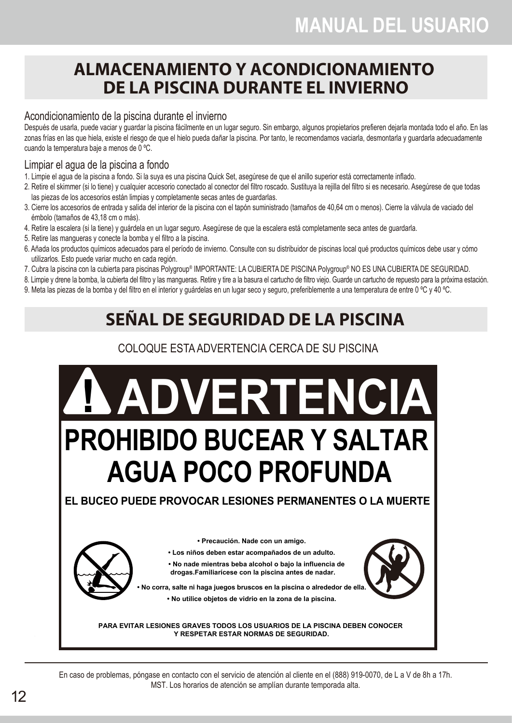### **ALMACENAMIENTO Y ACONDICIONAMIENTO DE LA PISCINA DURANTE EL INVIERNO**

#### Acondicionamiento de la piscina durante el invierno

Después de usarla, puede vaciar y guardar la piscina fácilmente en un lugar seguro. Sin embargo, algunos propietarios prefieren dejarla montada todo el año. En las zonas frías en las que hiela, existe el riesgo de que el hielo pueda dañar la piscina. Por tanto, le recomendamos vaciarla, desmontarla y quardarla adecuadamente cuando la temperatura baje a menos de 0 ºC.

#### Limpiar el agua de la piscina a fondo

- 1. Limpie el agua de la piscina a fondo. Si la suya es una piscina Quick Set, asegúrese de que el anillo superior está correctamente inflado.
- 2. Retire el skimmer (si lo tiene) y cualquier accesorio conectado al conector del filtro roscado. Sustituya la rejilla del filtro si es necesario. Asegúrese de que todas las piezas de los accesorios están limpias y completamente secas antes de guardarlas.
- 3. Cierre los accesorios de entrada y salida del interior de la piscina con el tapón suministrado (tamaños de 40,64 cm o menos). Cierre la válvula de vaciado del émbolo (tamaños de 43,18 cm o más).
- 4. Retire la escalera (si la tiene) y guárdela en un lugar seguro. Asegúrese de que la escalera está completamente seca antes de guardarla.
- 5. Retire las mangueras y conecte la bomba y el filtro a la piscina.
- 6. Añada los productos químicos adecuados para el período de invierno. Consulte con su distribuidor de piscinas local qué productos químicos debe usar y cómo utilizarlos. Esto puede variar mucho en cada región.
- 7. Cubra la piscina con la cubierta para piscinas Polygroup® IMPORTANTE: LA CUBIERTA DE PISCINA Polygroup® NO ES UNA CUBIERTA DE SEGURIDAD.

8. Limpie y drene la bomba, la cubierta del filtro y las mangueras. Retire y tire a la basura el cartucho de filtro viejo. Guarde un cartucho de repuesto para la próxima estación.

9. Meta las piezas de la bomba y del filtro en el interior y quárdelas en un lugar seco y seguro, preferiblemente a una temperatura de entre 0 °C y 40 °C.

## **SEÑAL DE SEGURIDAD DE LA PISCINA**

#### COLOQUE ESTA ADVERTENCIA CERCA DE SU PISCINA